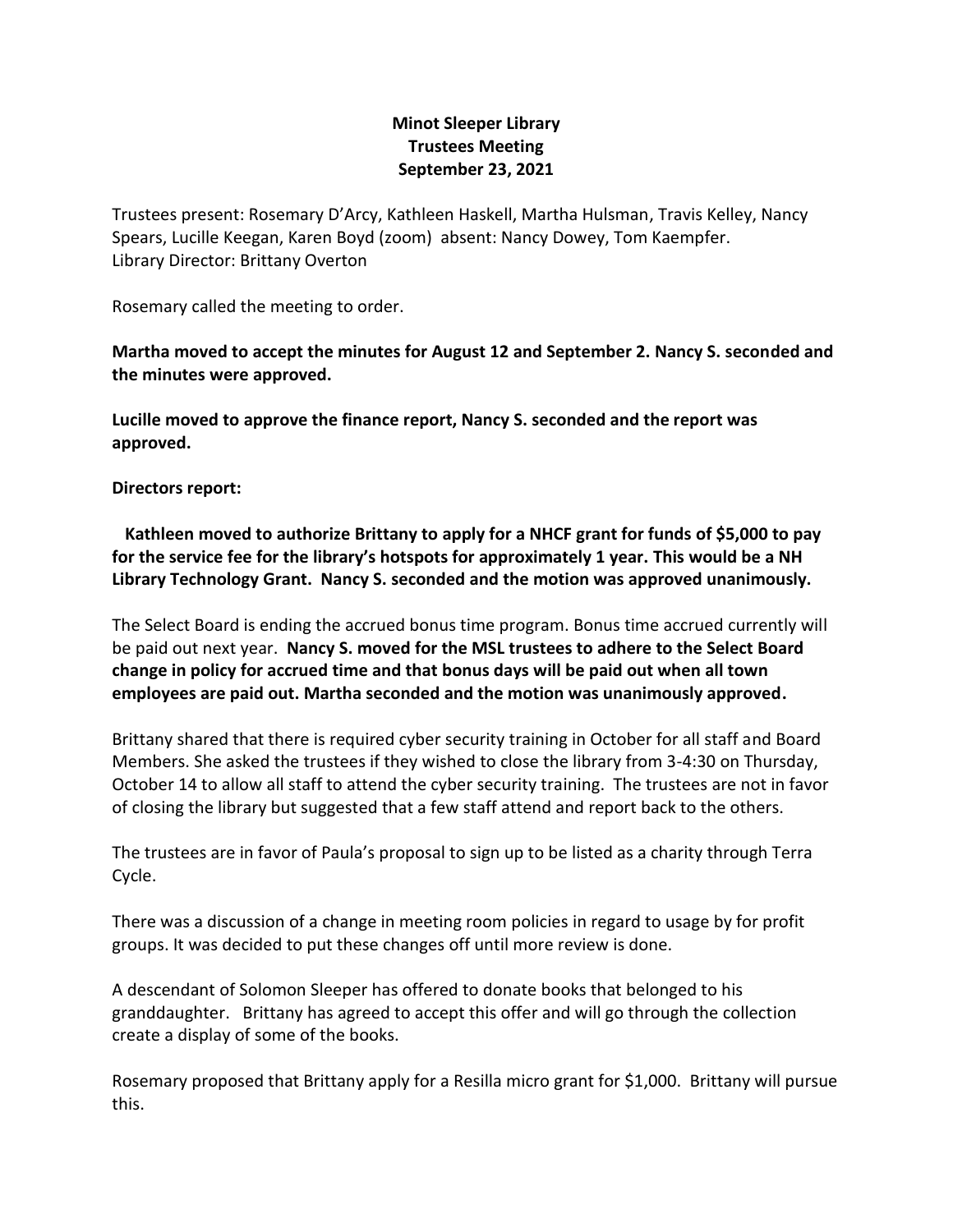## **Minot Sleeper Library Trustees Meeting September 23, 2021**

Trustees present: Rosemary D'Arcy, Kathleen Haskell, Martha Hulsman, Travis Kelley, Nancy Spears, Lucille Keegan, Karen Boyd (zoom) absent: Nancy Dowey, Tom Kaempfer. Library Director: Brittany Overton

Rosemary called the meeting to order.

**Martha moved to accept the minutes for August 12 and September 2. Nancy S. seconded and the minutes were approved.**

**Lucille moved to approve the finance report, Nancy S. seconded and the report was approved.**

## **Directors report:**

 **Kathleen moved to authorize Brittany to apply for a NHCF grant for funds of \$5,000 to pay for the service fee for the library's hotspots for approximately 1 year. This would be a NH Library Technology Grant. Nancy S. seconded and the motion was approved unanimously.** 

The Select Board is ending the accrued bonus time program. Bonus time accrued currently will be paid out next year. **Nancy S. moved for the MSL trustees to adhere to the Select Board change in policy for accrued time and that bonus days will be paid out when all town employees are paid out. Martha seconded and the motion was unanimously approved.**

Brittany shared that there is required cyber security training in October for all staff and Board Members. She asked the trustees if they wished to close the library from 3-4:30 on Thursday, October 14 to allow all staff to attend the cyber security training. The trustees are not in favor of closing the library but suggested that a few staff attend and report back to the others.

The trustees are in favor of Paula's proposal to sign up to be listed as a charity through Terra Cycle.

There was a discussion of a change in meeting room policies in regard to usage by for profit groups. It was decided to put these changes off until more review is done.

A descendant of Solomon Sleeper has offered to donate books that belonged to his granddaughter. Brittany has agreed to accept this offer and will go through the collection create a display of some of the books.

Rosemary proposed that Brittany apply for a Resilla micro grant for \$1,000. Brittany will pursue this.